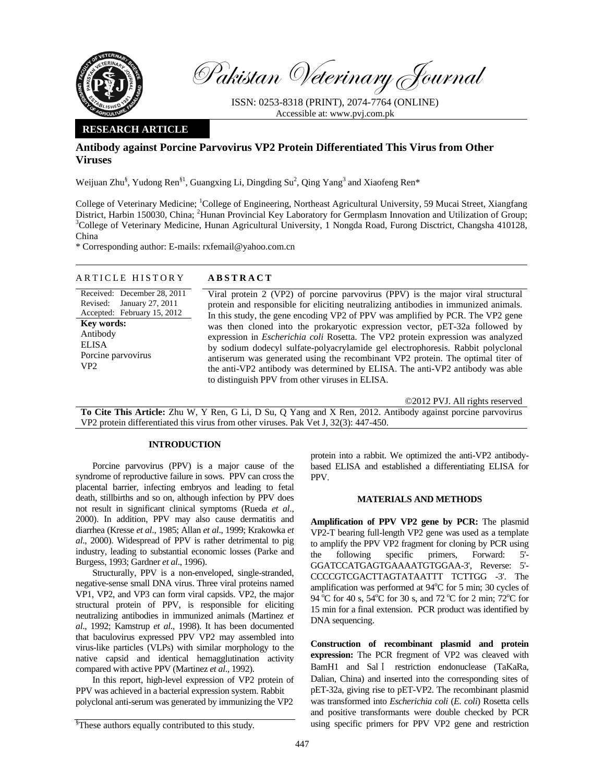

Pakistan Veterinary Journal

ISSN: 0253-8318 (PRINT), 2074-7764 (ONLINE) Accessible at: www.pvj.com.pk

## **RESEARCH ARTICLE**

# **Antibody against Porcine Parvovirus VP2 Protein Differentiated This Virus from Other Viruses**

Weijuan Zhu<sup>§</sup>, Yudong Ren<sup>§1</sup>, Guangxing Li, Dingding Su<sup>2</sup>, Qing Yang<sup>3</sup> and Xiaofeng Ren\*

College of Veterinary Medicine; <sup>1</sup>College of Engineering, Northeast Agricultural University, 59 Mucai Street, Xiangfang District, Harbin 150030, China; <sup>2</sup>Hunan Provincial Key Laboratory for Germplasm Innovation and Utilization of Group;<br><sup>3</sup>College of Veterinary Madising, Unnan Acricultural University, 1 Noneda Reed, Europe Disetrict, Chang <sup>3</sup>College of Veterinary Medicine, Hunan Agricultural University, 1 Nongda Road, Furong Disctrict, Changsha 410128, China

\* Corresponding author: E-mails: rxfemail@yahoo.com.cn

## ARTICLE HISTORY **ABSTRACT**

Received: December 28, 2011 Revised: January 27, 2011 Accepted: February 15, 2012 **Key words:**  Antibody ELISA Porcine parvovirus VP2

Viral protein 2 (VP2) of porcine parvovirus (PPV) is the major viral structural protein and responsible for eliciting neutralizing antibodies in immunized animals. In this study, the gene encoding VP2 of PPV was amplified by PCR. The VP2 gene was then cloned into the prokaryotic expression vector, pET-32a followed by expression in *Escherichia coli* Rosetta. The VP2 protein expression was analyzed by sodium dodecyl sulfate-polyacrylamide gel electrophoresis. Rabbit polyclonal antiserum was generated using the recombinant VP2 protein. The optimal titer of the anti-VP2 antibody was determined by ELISA. The anti-VP2 antibody was able to distinguish PPV from other viruses in ELISA.

©2012 PVJ. All rights reserved

**To Cite This Article:** Zhu W, Y Ren, G Li, D Su, Q Yang and X Ren, 2012. Antibody against porcine parvovirus VP2 protein differentiated this virus from other viruses. Pak Vet J, 32(3): 447-450.

## **INTRODUCTION**

Porcine parvovirus (PPV) is a major cause of the syndrome of reproductive failure in sows. PPV can cross the placental barrier, infecting embryos and leading to fetal death, stillbirths and so on, although infection by PPV does not result in significant clinical symptoms (Rueda *et al*., 2000). In addition, PPV may also cause dermatitis and diarrhea (Kresse *et al*., 1985; Allan *et al*., 1999; Krakowka *et al*., 2000). Widespread of PPV is rather detrimental to pig industry, leading to substantial economic losses (Parke and Burgess, 1993; Gardner *et al*., 1996).

Structurally, PPV is a non-enveloped, single-stranded, negative-sense small DNA virus. Three viral proteins named VP1, VP2, and VP3 can form viral capsids. VP2, the major structural protein of PPV, is responsible for eliciting neutralizing antibodies in immunized animals (Martinez *et al*., 1992; Kamstrup *et al*., 1998). It has been documented that baculovirus expressed PPV VP2 may assembled into virus-like particles (VLPs) with similar morphology to the native capsid and identical hemagglutination activity compared with active PPV (Martinez *et al*., 1992).

In this report, high-level expression of VP2 protein of PPV was achieved in a bacterial expression system. Rabbit polyclonal anti-serum was generated by immunizing the VP2

protein into a rabbit. We optimized the anti-VP2 antibodybased ELISA and established a differentiating ELISA for PPV.

## **MATERIALS AND METHODS**

**Amplification of PPV VP2 gene by PCR:** The plasmid VP2-T bearing full-length VP2 gene was used as a template to amplify the PPV VP2 fragment for cloning by PCR using the following specific primers, Forward: 5'- GGATCCATGAGTGAAAATGTGGAA-3', Reverse: 5'- CCCCGTCGACTTAGTATAATTT TCTTGG -3'. The amplification was performed at 94°C for 5 min; 30 cycles of 94 °C for 40 s,  $54$ °C for 30 s, and 72 °C for 2 min; 72 °C for 15 min for a final extension. PCR product was identified by DNA sequencing.

**Construction of recombinant plasmid and protein expression:** The PCR fregment of VP2 was cleaved with BamH1 and Sal I restriction endonuclease (TaKaRa, Dalian, China) and inserted into the corresponding sites of pET-32a, giving rise to pET-VP2. The recombinant plasmid was transformed into *Escherichia coli* (*E. coli*) Rosetta cells and positive transformants were double checked by PCR using specific primers for PPV VP2 gene and restriction

<sup>§</sup> These authors equally contributed to this study.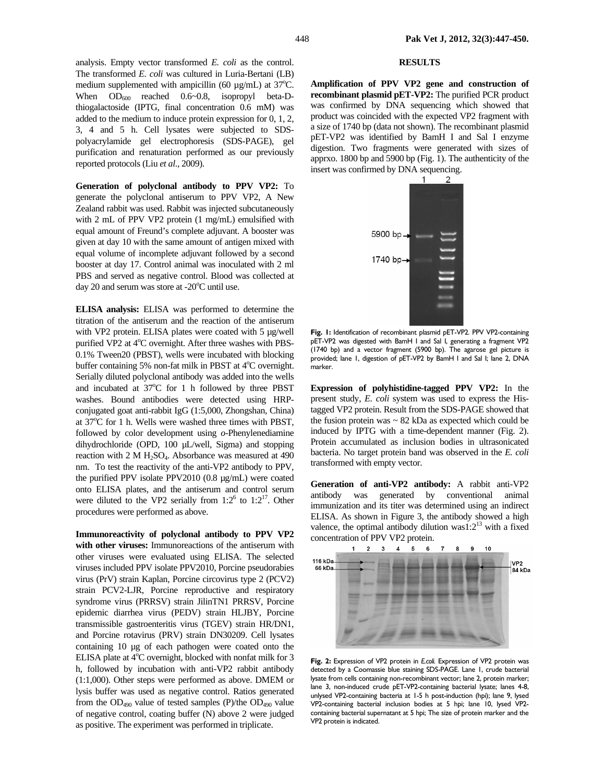analysis. Empty vector transformed *E. coli* as the control. The transformed *E. coli* was cultured in Luria-Bertani (LB) medium supplemented with ampicillin (60  $\mu$ g/mL) at 37°C. When  $OD_{600}$  reached  $0.6~0.8$ , isopropyl beta-Dthiogalactoside (IPTG, final concentration 0.6 mM) was added to the medium to induce protein expression for 0, 1, 2, 3, 4 and 5 h. Cell lysates were subjected to SDSpolyacrylamide gel electrophoresis (SDS-PAGE), gel purification and renaturation performed as our previously reported protocols (Liu *et al*., 2009).

**Generation of polyclonal antibody to PPV VP2:** To generate the polyclonal antiserum to PPV VP2, A New Zealand rabbit was used. Rabbit was injected subcutaneously with 2 mL of PPV VP2 protein (1 mg/mL) emulsified with equal amount of Freund's complete adjuvant. A booster was given at day 10 with the same amount of antigen mixed with equal volume of incomplete adjuvant followed by a second booster at day 17. Control animal was inoculated with 2 ml PBS and served as negative control. Blood was collected at day 20 and serum was store at  $-20^{\circ}$ C until use.

**ELISA analysis:** ELISA was performed to determine the titration of the antiserum and the reaction of the antiserum with VP2 protein. ELISA plates were coated with 5 µg/well purified VP2 at 4°C overnight. After three washes with PBS-0.1% Tween20 (PBST), wells were incubated with blocking buffer containing 5% non-fat milk in PBST at 4°C overnight. Serially diluted polyclonal antibody was added into the wells and incubated at 37°C for 1 h followed by three PBST washes. Bound antibodies were detected using HRPconjugated goat anti-rabbit IgG (1:5,000, Zhongshan, China) at 37°C for 1 h. Wells were washed three times with PBST, followed by color development using *o*-Phenylenediamine dihydrochloride (OPD, 100 µL/well, Sigma) and stopping reaction with  $2 M H_2SO_4$ . Absorbance was measured at 490 nm. To test the reactivity of the anti-VP2 antibody to PPV, the purified PPV isolate PPV2010 (0.8 µg/mL) were coated onto ELISA plates, and the antiserum and control serum were diluted to the VP2 serially from  $1:2^6$  to  $1:2^{17}$ . Other procedures were performed as above.

**Immunoreactivity of polyclonal antibody to PPV VP2 with other viruses:** Immunoreactions of the antiserum with other viruses were evaluated using ELISA. The selected viruses included PPV isolate PPV2010, Porcine pseudorabies virus (PrV) strain Kaplan, Porcine circovirus type 2 (PCV2) strain PCV2-LJR, Porcine reproductive and respiratory syndrome virus (PRRSV) strain JilinTN1 PRRSV, Porcine epidemic diarrhea virus (PEDV) strain HLJBY, Porcine transmissible gastroenteritis virus (TGEV) strain HR/DN1, and Porcine rotavirus (PRV) strain DN30209. Cell lysates containing 10 µg of each pathogen were coated onto the ELISA plate at  $4^{\circ}$ C overnight, blocked with nonfat milk for 3 h, followed by incubation with anti-VP2 rabbit antibody (1:1,000). Other steps were performed as above. DMEM or lysis buffer was used as negative control. Ratios generated from the OD490 value of tested samples (P)/the OD490 value of negative control, coating buffer (N) above 2 were judged as positive. The experiment was performed in triplicate.

### **RESULTS**

**Amplification of PPV VP2 gene and construction of recombinant plasmid pET-VP2:** The purified PCR product was confirmed by DNA sequencing which showed that product was coincided with the expected VP2 fragment with a size of 1740 bp (data not shown). The recombinant plasmid pET-VP2 was identified by BamH I and Sal I enzyme digestion. Two fragments were generated with sizes of apprxo. 1800 bp and 5900 bp (Fig. 1). The authenticity of the insert was confirmed by DNA sequencing.



**Fig. 1:** Identification of recombinant plasmid pET-VP2. PPV VP2-containing pET-VP2 was digested with BamH I and Sal I, generating a fragment VP2 (1740 bp) and a vector fragment (5900 bp). The agarose gel picture is provided; lane 1, digestion of pET-VP2 by BamH I and Sal I; lane 2, DNA marker.

**Expression of polyhistidine-tagged PPV VP2:** In the present study, *E. coli* system was used to express the Histagged VP2 protein. Result from the SDS-PAGE showed that the fusion protein was  $\sim$  82 kDa as expected which could be induced by IPTG with a time-dependent manner (Fig. 2). Protein accumulated as inclusion bodies in ultrasonicated bacteria. No target protein band was observed in the *E. coli* transformed with empty vector.

**Generation of anti-VP2 antibody:** A rabbit anti-VP2 antibody was generated by conventional animal immunization and its titer was determined using an indirect ELISA. As shown in Figure 3, the antibody showed a high valence, the optimal antibody dilution was1: $2^{13}$  with a fixed concentration of PPV VP2 protein.



**Fig. 2:** Expression of VP2 protein in *E.coli.* Expression of VP2 protein was detected by a Coomassie blue staining SDS-PAGE. Lane 1, crude bacterial lysate from cells containing non-recombinant vector; lane 2, protein marker; lane 3, non-induced crude pET-VP2-containing bacterial lysate; lanes 4-8, unlysed VP2-containing bacteria at 1-5 h post-induction (hpi); lane 9, lysed VP2-containing bacterial inclusion bodies at 5 hpi; lane 10, lysed VP2 containing bacterial supernatant at 5 hpi; The size of protein marker and the VP2 protein is indicated.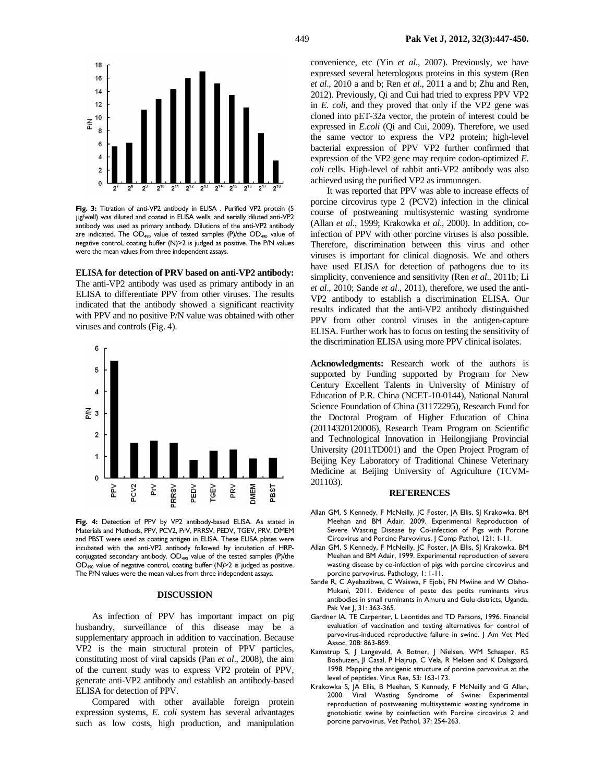

Fig. 3: Titration of anti-VP2 antibody in ELISA . Purified VP2 protein (5 µg/well) was diluted and coated in ELISA wells, and serially diluted anti-VP2 antibody was used as primary antibody. Dilutions of the anti-VP2 antibody are indicated. The  $OD_{490}$  value of tested samples (P)/the  $OD_{490}$  value of negative control, coating buffer (N)>2 is judged as positive. The P/N values were the mean values from three independent assays.

**ELISA for detection of PRV based on anti-VP2 antibody:** The anti-VP2 antibody was used as primary antibody in an ELISA to differentiate PPV from other viruses. The results indicated that the antibody showed a significant reactivity with PPV and no positive P/N value was obtained with other viruses and controls (Fig. 4).



**Fig. 4:** Detection of PPV by VP2 antibody-based ELISA. As stated in Materials and Methods, PPV, PCV2, PrV, PRRSV, PEDV, TGEV, PRV, DMEM and PBST were used as coating antigen in ELISA. These ELISA plates were incubated with the anti-VP2 antibody followed by incubation of HRPconjugated secondary antibody. OD<sub>490</sub> value of the tested samples (P)/the OD490 value of negative control, coating buffer (N)>2 is judged as positive. The P/N values were the mean values from three independent assays.

#### **DISCUSSION**

As infection of PPV has important impact on pig husbandry, surveillance of this disease may be a supplementary approach in addition to vaccination. Because VP2 is the main structural protein of PPV particles, constituting most of viral capsids (Pan *et al*., 2008), the aim of the current study was to express VP2 protein of PPV, generate anti-VP2 antibody and establish an antibody-based ELISA for detection of PPV.

Compared with other available foreign protein expression systems, *E. coli* system has several advantages such as low costs, high production, and manipulation convenience, etc (Yin *et al*., 2007). Previously, we have expressed several heterologous proteins in this system (Ren *et al*., 2010 a and b; Ren *et al*., 2011 a and b; Zhu and Ren, 2012). Previously, Qi and Cui had tried to express PPV VP2 in *E. coli*, and they proved that only if the VP2 gene was cloned into pET-32a vector, the protein of interest could be expressed in *E.coli* (Qi and Cui, 2009). Therefore, we used the same vector to express the VP2 protein; high-level bacterial expression of PPV VP2 further confirmed that expression of the VP2 gene may require codon-optimized *E. coli* cells. High-level of rabbit anti-VP2 antibody was also achieved using the purified VP2 as immunogen.

It was reported that PPV was able to increase effects of porcine circovirus type 2 (PCV2) infection in the clinical course of postweaning multisystemic wasting syndrome (Allan *et al*., 1999; Krakowka *et al*., 2000). In addition, coinfection of PPV with other porcine viruses is also possible. Therefore, discrimination between this virus and other viruses is important for clinical diagnosis. We and others have used ELISA for detection of pathogens due to its simplicity, convenience and sensitivity (Ren *et al*., 2011b; Li *et al*., 2010; Sande *et al*., 2011), therefore, we used the anti-VP2 antibody to establish a discrimination ELISA. Our results indicated that the anti-VP2 antibody distinguished PPV from other control viruses in the antigen-capture ELISA. Further work has to focus on testing the sensitivity of the discrimination ELISA using more PPV clinical isolates.

**Acknowledgments:** Research work of the authors is supported by Funding supported by Program for New Century Excellent Talents in University of Ministry of Education of P.R. China (NCET-10-0144), National Natural Science Foundation of China (31172295), Research Fund for the Doctoral Program of Higher Education of China (20114320120006), Research Team Program on Scientific and Technological Innovation in Heilongjiang Provincial University (2011TD001) and the Open Project Program of Beijing Key Laboratory of Traditional Chinese Veterinary Medicine at Beijing University of Agriculture (TCVM-201103).

#### **REFERENCES**

- Allan GM, S Kennedy, F McNeilly, JC Foster, JA Ellis, SJ Krakowka, BM Meehan and BM Adair, 2009. Experimental Reproduction of Severe Wasting Disease by Co-infection of Pigs with Porcine Circovirus and Porcine Parvovirus. J Comp Pathol, 121: 1-11.
- Allan GM, S Kennedy, F McNeilly, JC Foster, JA Ellis, SJ Krakowka, BM Meehan and BM Adair, 1999. Experimental reproduction of severe wasting disease by co-infection of pigs with porcine circovirus and porcine parvovirus. Pathology, 1: 1-11.
- Sande R, C Ayebazibwe, C Waiswa, F Ejobi, FN Mwiine and W Olaho-Mukani, 2011. Evidence of peste des petits ruminants virus antibodies in small ruminants in Amuru and Gulu districts, Uganda. Pak Vet J, 31: 363-365.
- Gardner IA, TE Carpenter, L Leontides and TD Parsons, 1996. Financial evaluation of vaccination and testing alternatives for control of parvovirus-induced reproductive failure in swine. | Am Vet Med Assoc, 208: 863-869.
- Kamstrup S, J Langeveld, A Botner, J Nielsen, WM Schaaper, RS Boshuizen, JI Casal, P Højrup, C Vela, R Meloen and K Dalsgaard, 1998. Mapping the antigenic structure of porcine parvovirus at the level of peptides. Virus Res, 53: 163-173.
- Krakowka S, JA Ellis, B Meehan, S Kennedy, F McNeilly and G Allan, 2000. Viral Wasting Syndrome of Swine: Experimental reproduction of postweaning multisystemic wasting syndrome in gnotobiotic swine by coinfection with Porcine circovirus 2 and porcine parvovirus. Vet Pathol, 37: 254-263.